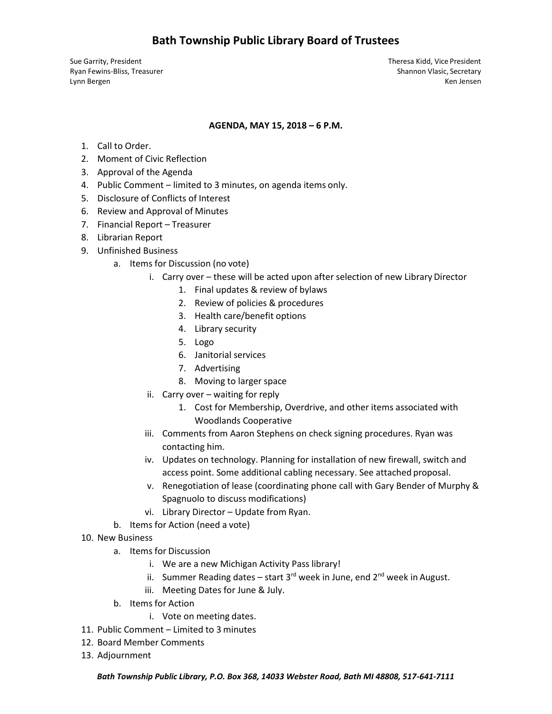Sue Garrity, President Theresa Kidd, Vice President Ryan Fewins-Bliss, Treasurer Shannon Vlasic, Secretary Shannon Vlasic, Secretary Lynn Bergen Ken Jensen Ken Jensen Ken Jensen Ken Jensen Ken Jensen Ken Jensen Ken Jensen Ken Jensen Ken Jensen

### **AGENDA, MAY 15, 2018 – 6 P.M.**

- 1. Call to Order.
- 2. Moment of Civic Reflection
- 3. Approval of the Agenda
- 4. Public Comment limited to 3 minutes, on agenda items only.
- 5. Disclosure of Conflicts of Interest
- 6. Review and Approval of Minutes
- 7. Financial Report Treasurer
- 8. Librarian Report
- 9. Unfinished Business
	- a. Items for Discussion (no vote)
		- i. Carry over these will be acted upon after selection of new Library Director
			- 1. Final updates & review of bylaws
			- 2. Review of policies & procedures
			- 3. Health care/benefit options
			- 4. Library security
			- 5. Logo
			- 6. Janitorial services
			- 7. Advertising
			- 8. Moving to larger space
		- ii. Carry over waiting for reply
			- 1. Cost for Membership, Overdrive, and other items associated with Woodlands Cooperative
		- iii. Comments from Aaron Stephens on check signing procedures. Ryan was contacting him.
		- iv. Updates on technology. Planning for installation of new firewall, switch and access point. Some additional cabling necessary. See attached proposal.
		- v. Renegotiation of lease (coordinating phone call with Gary Bender of Murphy & Spagnuolo to discuss modifications)
		- vi. Library Director Update from Ryan.
	- b. Items for Action (need a vote)
- 10. New Business
	- a. Items for Discussion
		- i. We are a new Michigan Activity Pass library!
		- ii. Summer Reading dates start  $3^{rd}$  week in June, end  $2^{nd}$  week in August.
		- iii. Meeting Dates for June & July.
	- b. Items for Action
		- i. Vote on meeting dates.
- 11. Public Comment Limited to 3 minutes
- 12. Board Member Comments
- 13. Adjournment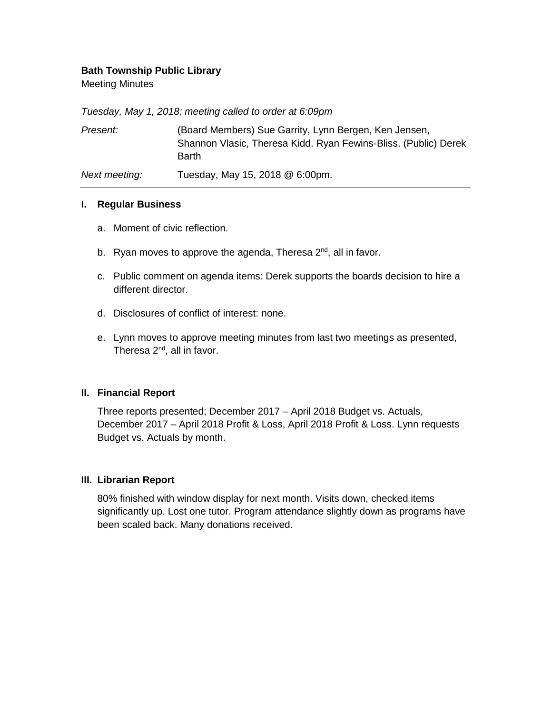# **Bath Township Public Library**

Meeting Minutes

*Tuesday, May 1, 2018; meeting called to order at 6:09pm*

| Present:      | (Board Members) Sue Garrity, Lynn Bergen, Ken Jensen,<br>Shannon Vlasic, Theresa Kidd. Ryan Fewins-Bliss. (Public) Derek<br>Barth |
|---------------|-----------------------------------------------------------------------------------------------------------------------------------|
| Next meeting: | Tuesday, May 15, 2018 @ 6:00pm.                                                                                                   |

### **I. Regular Business**

- a. Moment of civic reflection.
- b. Ryan moves to approve the agenda, Theresa  $2^{nd}$ , all in favor.
- c. Public comment on agenda items: Derek supports the boards decision to hire a different director.
- d. Disclosures of conflict of interest: none.
- e. Lynn moves to approve meeting minutes from last two meetings as presented, Theresa  $2^{nd}$ , all in favor.

# **II. Financial Report**

Three reports presented; December 2017 – April 2018 Budget vs. Actuals, December 2017 – April 2018 Profit & Loss, April 2018 Profit & Loss. Lynn requests Budget vs. Actuals by month.

# **III. Librarian Report**

80% finished with window display for next month. Visits down, checked items significantly up. Lost one tutor. Program attendance slightly down as programs have been scaled back. Many donations received.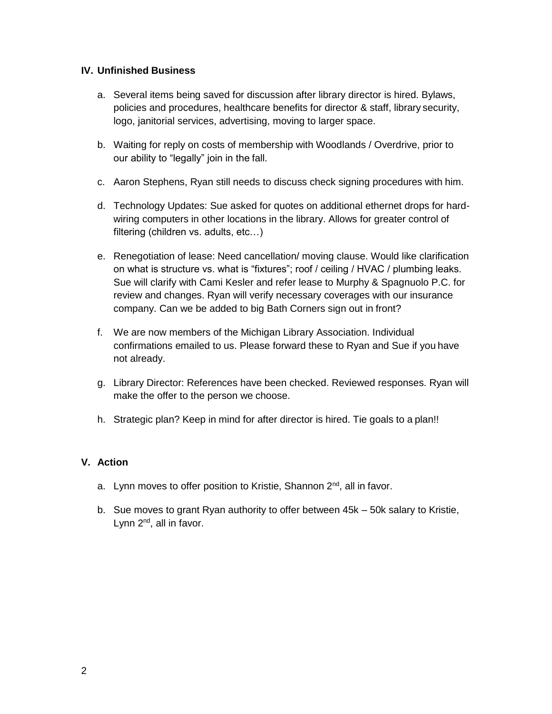# **IV. Unfinished Business**

- a. Several items being saved for discussion after library director is hired. Bylaws, policies and procedures, healthcare benefits for director & staff, library security, logo, janitorial services, advertising, moving to larger space.
- b. Waiting for reply on costs of membership with Woodlands / Overdrive, prior to our ability to "legally" join in the fall.
- c. Aaron Stephens, Ryan still needs to discuss check signing procedures with him.
- d. Technology Updates: Sue asked for quotes on additional ethernet drops for hardwiring computers in other locations in the library. Allows for greater control of filtering (children vs. adults, etc…)
- e. Renegotiation of lease: Need cancellation/ moving clause. Would like clarification on what is structure vs. what is "fixtures"; roof / ceiling / HVAC / plumbing leaks. Sue will clarify with Cami Kesler and refer lease to Murphy & Spagnuolo P.C. for review and changes. Ryan will verify necessary coverages with our insurance company. Can we be added to big Bath Corners sign out in front?
- f. We are now members of the Michigan Library Association. Individual confirmations emailed to us. Please forward these to Ryan and Sue if you have not already.
- g. Library Director: References have been checked. Reviewed responses. Ryan will make the offer to the person we choose.
- h. Strategic plan? Keep in mind for after director is hired. Tie goals to a plan!!

# **V. Action**

- a. Lynn moves to offer position to Kristie, Shannon  $2^{nd}$ , all in favor.
- b. Sue moves to grant Ryan authority to offer between 45k 50k salary to Kristie, Lynn  $2^{nd}$ , all in favor.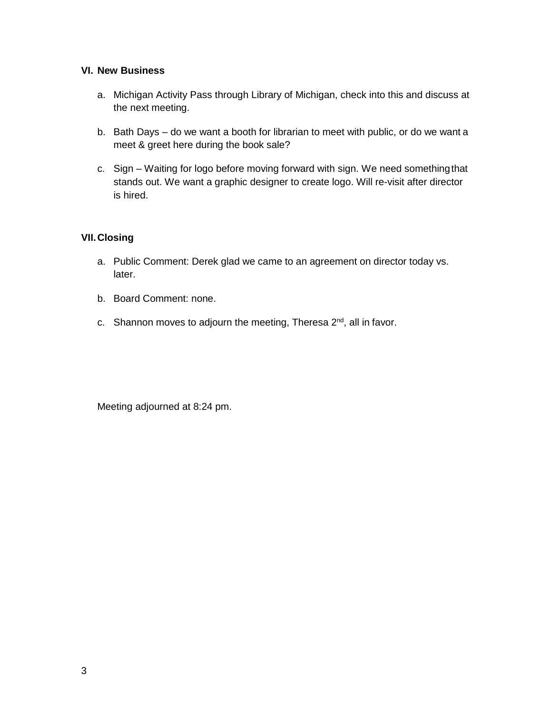### **VI. New Business**

- a. Michigan Activity Pass through Library of Michigan, check into this and discuss at the next meeting.
- b. Bath Days do we want a booth for librarian to meet with public, or do we want a meet & greet here during the book sale?
- c. Sign Waiting for logo before moving forward with sign. We need somethingthat stands out. We want a graphic designer to create logo. Will re-visit after director is hired.

# **VII.Closing**

- a. Public Comment: Derek glad we came to an agreement on director today vs. later.
- b. Board Comment: none.
- c. Shannon moves to adjourn the meeting, Theresa  $2<sup>nd</sup>$ , all in favor.

Meeting adjourned at 8:24 pm.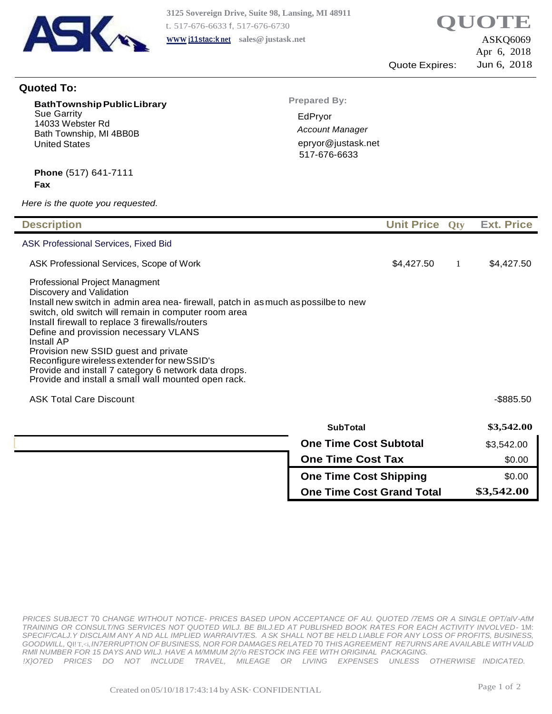

ASKQ6069 Apr 6, 2018 Quote Expires: Jun 6, 2018

### **Quoted To:**

| <b>BathTownship Public Library</b> |  |  |  |
|------------------------------------|--|--|--|
| <b>Sue Garrity</b>                 |  |  |  |
| 14033 Webster Rd                   |  |  |  |
| Bath Township, MI 4BB0B            |  |  |  |
| <b>United States</b>               |  |  |  |

**Prepared By:**

EdPryor *Account Manager* [epryor@justask.net](mailto:epryor@justask.net) 517-676-6633

#### **Phone** (517) 641-7111 **Fax**

*Here is the quote you requested.*

| <b>Description</b>                                                                                                                                                                                                                                                                                                                                                                                                                                                                                                         |                               | Unit Price Oty |   | <b>Ext. Price</b> |
|----------------------------------------------------------------------------------------------------------------------------------------------------------------------------------------------------------------------------------------------------------------------------------------------------------------------------------------------------------------------------------------------------------------------------------------------------------------------------------------------------------------------------|-------------------------------|----------------|---|-------------------|
| <b>ASK Professional Services, Fixed Bid</b>                                                                                                                                                                                                                                                                                                                                                                                                                                                                                |                               |                |   |                   |
| ASK Professional Services, Scope of Work                                                                                                                                                                                                                                                                                                                                                                                                                                                                                   |                               | \$4,427.50     | 1 | \$4,427.50        |
| Professional Project Managment<br>Discovery and Validation<br>Install new switch in admin area nea- firewall, patch in as much as possilbe to new<br>switch, old switch will remain in computer room area<br>Install firewall to replace 3 firewalls/routers<br>Define and provission necessary VLANS<br>Install AP<br>Provision new SSID guest and private<br>Reconfigure wireless extender for new SSID's<br>Provide and install 7 category 6 network data drops.<br>Provide and install a small wall mounted open rack. |                               |                |   |                   |
| <b>ASK Total Care Discount</b>                                                                                                                                                                                                                                                                                                                                                                                                                                                                                             |                               |                |   | $-$ \$885.50      |
|                                                                                                                                                                                                                                                                                                                                                                                                                                                                                                                            | <b>SubTotal</b>               |                |   | \$3,542.00        |
|                                                                                                                                                                                                                                                                                                                                                                                                                                                                                                                            | <b>One Time Cost Subtotal</b> |                |   | \$3,542.00        |
|                                                                                                                                                                                                                                                                                                                                                                                                                                                                                                                            | <b>One Time Cost Tax</b>      |                |   | \$0.00            |
|                                                                                                                                                                                                                                                                                                                                                                                                                                                                                                                            | <b>One Time Cost Shipping</b> |                |   | \$0.00            |

**One Time Cost Shipping One Time Cost Grand Total** \$0.00 **\$3,542.00**

*PRICES SUBJECT* 70 *CHANGE WITHOUT NOTICE- PRICES BASED UPON ACCEPTANCE OF AU. QUOTED /7EMS OR A SINGLE OPT/alV-AfM TRAINING OR CONSULT/NG SERVICES NOT QUOTED WILJ. BE BILJ.ED AT PUBLISHED BOOK RATES FOR EACH ACTIVITY INVOLVED-* 1M: SPECIF/CALJ.Y DISCLAIM ANY A ND ALL IMPLIED WARRAIVT/ES. A SK SHALL NOT BE HELD LIABLE FOR ANY LOSS OF PROFITS, BUSINESS, *GOODWILL,* QI! T,<i,*IN7ERRUPT!ON OF BUSINESS, NOR FOR DAMAGES RELATED* 70 *THIS AGREEMENT RE7URNS ARE AVAILABLE WITHVALID RMll NUMBER FOR 15 DAYS AND WILJ. HAVE A M/MMUM 2(/'/o RESTOCK ING FEE WITH ORIGINAL PACKAGING. !X}O7ED PRICES DO NOT INCLUDE TRAVEL, MILEAGE OR LIVING EXPENSES UNLESS OTHERWISE INDICATED.*